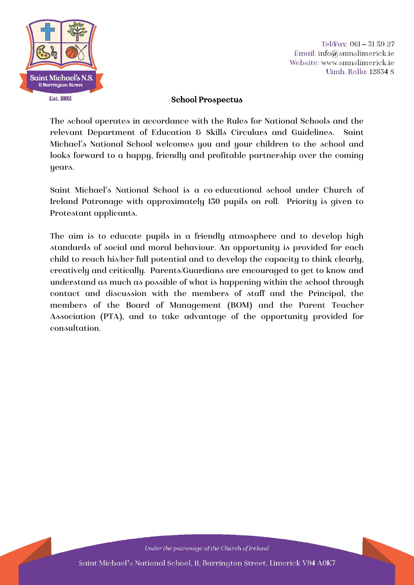

Tel/Fax: 061 - 31 59 27 Email: info@smnslimerick.ie Website: www.smnslimerick.ie Uimh. Rolla: 12834 S

#### School Prospectus

The school operates in accordance with the Rules for National Schools and the relevant Department of Education & Skills Circulars and Guidelines. Saint Michael's National School welcomes you and your children to the school and looks forward to a happy, friendly and profitable partnership over the coming years.

Saint Michael's National School is a co-educational school under Church of Ireland Patronage with approximately 130 pupils on roll. Priority is given to Protestant applicants.

The aim is to educate pupils in a friendly atmosphere and to develop high standards of social and moral behaviour. An opportunity is provided for each child to reach his/her full potential and to develop the capacity to think clearly, creatively and critically. Parents/Guardians are encouraged to get to know and understand as much as possible of what is happening within the school through contact and discussion with the members of staff and the Principal, the members of the Board of Management (BOM) and the Parent Teacher Association (PTA), and to take advantage of the opportunity provided for consultation.

Under the patronage of the Church of Ireland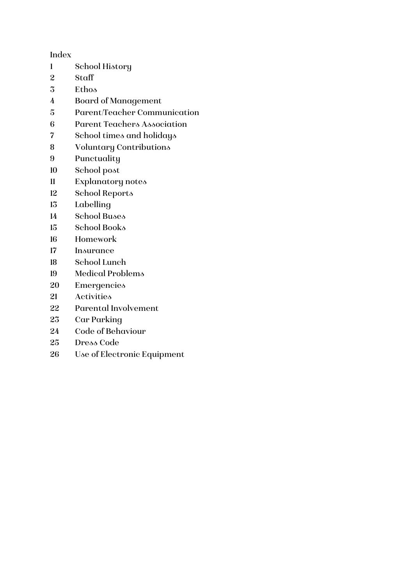Index

- School History
- Staff
- Ethos
- Board of Management
- Parent/Teacher Communication
- Parent Teachers Association
- School times and holidays
- Voluntary Contributions
- Punctuality
- School post
- Explanatory notes
- School Reports
- Labelling
- School Buses
- School Books
- Homework
- Insurance
- School Lunch
- Medical Problems
- Emergencies
- Activities
- Parental Involvement
- Car Parking
- Code of Behaviour
- Dress Code
- Use of Electronic Equipment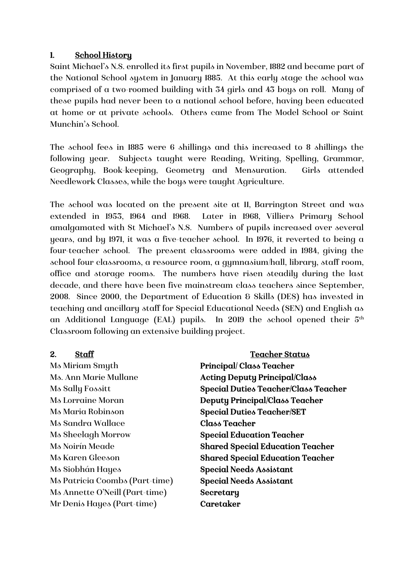#### 1. School History

Saint Michael's N.S. enrolled its first pupils in November, 1882 and became part of the National School system in January 1885. At this early stage the school was comprised of a two-roomed building with 34 girls and 43 boys on roll. Many of these pupils had never been to a national school before, having been educated at home or at private schools. Others came from The Model School or Saint Munchin's School.

The school fees in 1885 were 6 shillings and this increased to 8 shillings the following year. Subjects taught were Reading, Writing, Spelling, Grammar, Geography, Book-keeping, Geometry and Mensuration. Girls attended Needlework Classes, while the boys were taught Agriculture.

The school was located on the present site at 11, Barrington Street and was extended in 1953, 1964 and 1968. Later in 1968, Villiers Primary School amalgamated with St Michael's N.S. Numbers of pupils increased over several years, and by 1971, it was a five-teacher school. In 1976, it reverted to being a four-teacher school. The present classrooms were added in 1984, giving the school four classrooms, a resource room, a gymnasium/hall, library, staff room, office and storage rooms. The numbers have risen steadily during the last decade, and there have been five mainstream class teachers since September, 2008. Since 2000, the Department of Education & Skills (DES) has invested in teaching and ancillary staff for Special Educational Needs (SEN) and English as an Additional Language (EAL) pupils. In 2019 the school opened their  $5<sup>th</sup>$ Classroom following an extensive building project.

Ms Miriam Smyth Principal/ Class Teacher Ms. Ann Marie Mullane **Acting Deputy Principal/Class** Ms Maria Robinson Special Duties Teacher/SET Ms Sandra Wallace Class Teacher Ms Sheelagh Morrow Special Education Teacher Ms Siobhán Hayes Special Needs Assistant Ms Patricia Coombs (Part-time) Special Needs Assistant Ms Annette O'Neill (Part-time) Secretary Mr Denis Hayes (Part-time) Caretaker

2. Staff Teacher Status Ms Sally Fossitt Special Duties Teacher/Class Teacher Ms Lorraine Moran **Deputy Principal/Class Teacher** Ms Noirín Meade Shared Special Education Teacher Ms Karen Gleeson Shared Special Education Teacher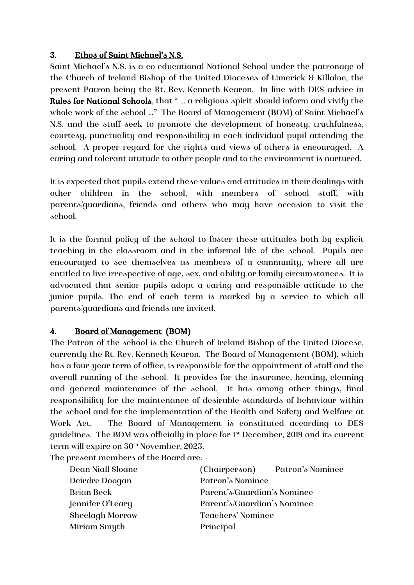#### 3. Ethos of Saint Michael's N.S.

Saint Michael's N.S. is a co-educational National School under the patronage of the Church of Ireland Bishop of the United Dioceses of Limerick & Killaloe, the present Patron being the Rt. Rev. Kenneth Kearon. In line with DES advice in Rules for National Schools, that " … a religious spirit should inform and vivify the whole work of the school ..." The Board of Management (BOM) of Saint Michael's N.S. and the staff seek to promote the development of honesty, truthfulness, courtesy, punctuality and responsibility in each individual pupil attending the school. A proper regard for the rights and views of others is encouraged. A caring and tolerant attitude to other people and to the environment is nurtured.

It is expected that pupils extend these values and attitudes in their dealings with other children in the school, with members of school staff, with parents/guardians, friends and others who may have occasion to visit the school.

It is the formal policy of the school to foster these attitudes both by explicit teaching in the classroom and in the informal life of the school. Pupils are encouraged to see themselves as members of a community, where all are entitled to live irrespective of age, sex, and ability or family circumstances. It is advocated that senior pupils adopt a caring and responsible attitude to the junior pupils. The end of each term is marked by a service to which all parents/guardians and friends are invited.

## 4. Board of Management (BOM)

The Patron of the school is the Church of Ireland Bishop of the United Diocese, currently the Rt. Rev. Kenneth Kearon. The Board of Management (BOM), which has a four-year term of office, is responsible for the appointment of staff and the overall running of the school. It provides for the insurance, heating, cleaning and general maintenance of the school. It has among other things, final responsibility for the maintenance of desirable standards of behaviour within the school and for the implementation of the Health and Safety and Welfare at Work Act. The Board of Management is constituted according to DES guidelines. The BOM was officially in place for 1st December, 2019 and its current term will expire on  $30<sup>th</sup>$  November, 2023.

The present members of the Board are: -

| Dean Niall Sloane      | (Chairperson) Patron's Nominee |
|------------------------|--------------------------------|
| Deirdre Doogan         | Patron's Nominee               |
| Brian Beck             | Parent's/Guardian's Nominee    |
| Jennifer O'Leary       | Parent's/Guardian's Nominee    |
| <b>Sheelagh Morrow</b> | Teachers' Nominee              |
| Miriam Smyth           | Principal                      |
|                        |                                |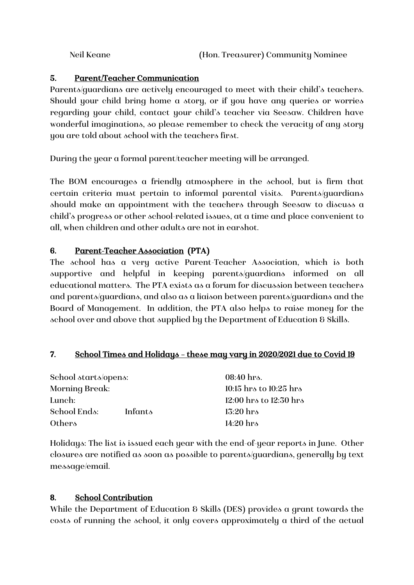## 5. Parent/Teacher Communication

Parents/guardians are actively encouraged to meet with their child's teachers. Should your child bring home a story, or if you have any queries or worries regarding your child, contact your child's teacher via Seesaw. Children have wonderful imaginations, so please remember to check the veracity of any story you are told about school with the teachers first.

During the year a formal parent/teacher meeting will be arranged.

The BOM encourages a friendly atmosphere in the school, but is firm that certain criteria must pertain to informal parental visits. Parents/guardians should make an appointment with the teachers through Seesaw to discuss a child's progress or other school-related issues, at a time and place convenient to all, when children and other adults are not in earshot.

#### 6. Parent-Teacher Association (PTA)

The school has a very active Parent-Teacher Association, which is both supportive and helpful in keeping parents/guardians informed on all educational matters. The PTA exists as a forum for discussion between teachers and parents/guardians, and also as a liaison between parents/guardians and the Board of Management. In addition, the PTA also helps to raise money for the school over and above that supplied by the Department of Education & Skills.

#### 7. School Times and Holidays – these may vary in 2020/2021 due to Covid 19

| School starts/opens: | 08:40 hrs.             |  |  |
|----------------------|------------------------|--|--|
|                      | 10:15 hrs to 10:25 hrs |  |  |
|                      | 12:00 hrs to 12:30 hrs |  |  |
| Infants              | $13:20$ hrs            |  |  |
|                      | $14:20$ hrs            |  |  |
|                      |                        |  |  |

Holidays: The list is issued each year with the end-of-year reports in June. Other closures are notified as soon as possible to parents/guardians, generally by text message/email.

#### 8. School Contribution

While the Department of Education & Skills (DES) provides a grant towards the costs of running the school, it only covers approximately a third of the actual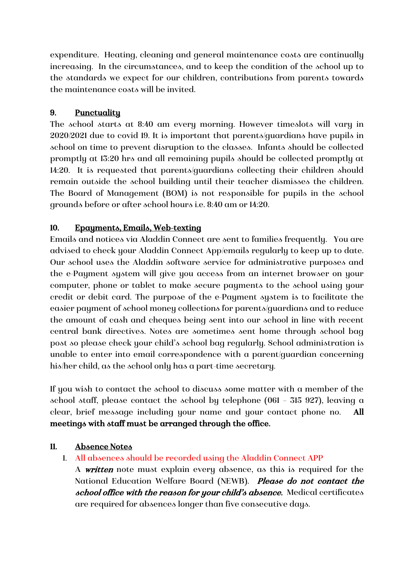expenditure. Heating, cleaning and general maintenance costs are continually increasing. In the circumstances, and to keep the condition of the school up to the standards we expect for our children, contributions from parents towards the maintenance costs will be invited.

# 9. Punctuality

The school starts at 8:40 am every morning. However timeslots will vary in 2020/2021 due to covid 19. It is important that parents/guardians have pupils in school on time to prevent disruption to the classes. Infants should be collected promptly at 13:20 hrs and all remaining pupils should be collected promptly at 14:20. It is requested that parents/guardians collecting their children should remain outside the school building until their teacher dismisses the children. The Board of Management (BOM) is not responsible for pupils in the school grounds before or after school hours i.e. 8:40 am or 14:20.

# 10. Epayments, Emails, Web-texting

Emails and notices via Aladdin Connect are sent to families frequently. You are advised to check your Aladdin Connect App/emails regularly to keep up to date. Our school uses the Aladdin software service for administrative purposes and the e-Payment system will give you access from an internet browser on your computer, phone or tablet to make secure payments to the school using your credit or debit card. The purpose of the e-Payment system is to facilitate the easier payment of school money collections for parents/guardians and to reduce the amount of cash and cheques being sent into our school in line with recent central bank directives. Notes are sometimes sent home through school bag post so please check your child's school bag regularly. School administration is unable to enter into email correspondence with a parent/guardian concerning his/her child, as the school only has a part-time secretary.

If you wish to contact the school to discuss some matter with a member of the school staff, please contact the school by telephone (061 – 315 927), leaving a clear, brief message including your name and your contact phone no. All meetings with staff must be arranged through the office.

## 11. Absence Notes

1. All absences should be recorded using the Aladdin Connect APP

A **written** note must explain every absence, as this is required for the National Education Welfare Board (NEWB). Please do not contact the school office with the reason for your child's absence. Medical certificates are required for absences longer than five consecutive days.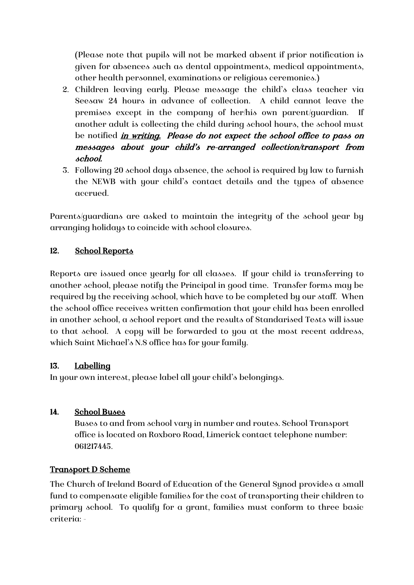(Please note that pupils will not be marked absent if prior notification is given for absences such as dental appointments, medical appointments, other health personnel, examinations or religious ceremonies.)

- 2. Children leaving early. Please message the child's class teacher via Seesaw 24 hours in advance of collection. A child cannot leave the premises except in the company of her/his own parent/guardian. If another adult is collecting the child during school hours, the school must be notified *in writing. Please do not expect the school office to pass on* messages about your child's re-arranged collection/transport from school.
- 3. Following 20 school days absence, the school is required by law to furnish the NEWB with your child's contact details and the types of absence accrued.

Parents/guardians are asked to maintain the integrity of the school year by arranging holidays to coincide with school closures.

# 12. School Reports

Reports are issued once yearly for all classes. If your child is transferring to another school, please notify the Principal in good time. Transfer forms may be required by the receiving school, which have to be completed by our staff. When the school office receives written confirmation that your child has been enrolled in another school, a school report and the results of Standarised Tests will issue to that school. A copy will be forwarded to you at the most recent address, which Saint Michael's N.S office has for your family.

## 13. Labelling

In your own interest, please label all your child's belongings.

# 14. School Buses

Buses to and from school vary in number and routes. School Transport office is located on Roxboro Road, Limerick contact telephone number: 061217445.

## Transport D Scheme

The Church of Ireland Board of Education of the General Synod provides a small fund to compensate eligible families for the cost of transporting their children to primary school. To qualify for a grant, families must conform to three basic criteria: -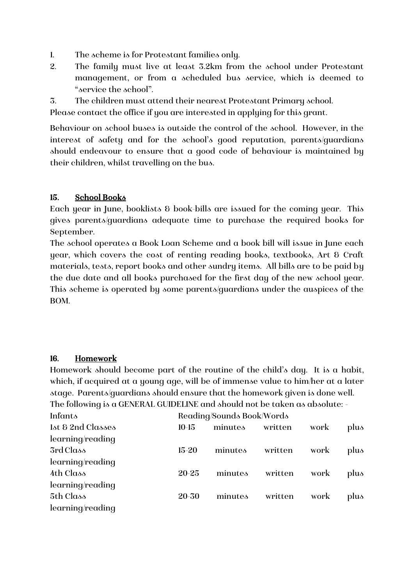- 1. The scheme is for Protestant families only.
- 2. The family must live at least 3.2km from the school under Protestant management, or from a scheduled bus service, which is deemed to "service the school".
- 3. The children must attend their nearest Protestant Primary school.

Please contact the office if you are interested in applying for this grant.

Behaviour on school buses is outside the control of the school. However, in the interest of safety and for the school's good reputation, parents/guardians should endeavour to ensure that a good code of behaviour is maintained by their children, whilst travelling on the bus.

## 15. School Books

Each year in June, booklists & book-bills are issued for the coming year. This gives parents/guardians adequate time to purchase the required books for September.

The school operates a Book Loan Scheme and a book bill will issue in June each year, which covers the cost of renting reading books, textbooks, Art & Craft materials, tests, report books and other sundry items. All bills are to be paid by the due date and all books purchased for the first day of the new school year. This scheme is operated by some parents/guardians under the auspices of the BOM.

#### 16. Homework

Homework should become part of the routine of the child's day. It is a habit, which, if acquired at a young age, will be of immense value to him/her at a later stage. Parents/guardians should ensure that the homework given is done well. The following is a GENERAL GUIDELINE and should not be taken as absolute: -

| Infants           | Reading/Sounds Book/Words |         |         |      |      |
|-------------------|---------------------------|---------|---------|------|------|
| 1st & 2nd Classes | $10-15$                   | minutes | written | work | plus |
| learning/reading  |                           |         |         |      |      |
| 3rd Class         | $15 - 20$                 | minutes | written | work | plus |
| learning/reading  |                           |         |         |      |      |
| 4th Class         | $20 - 25$                 | minutes | written | work | plus |
| learning/reading  |                           |         |         |      |      |
| 5th Class         | $20 - 30$                 | minutes | written | work | plus |
| learning/reading  |                           |         |         |      |      |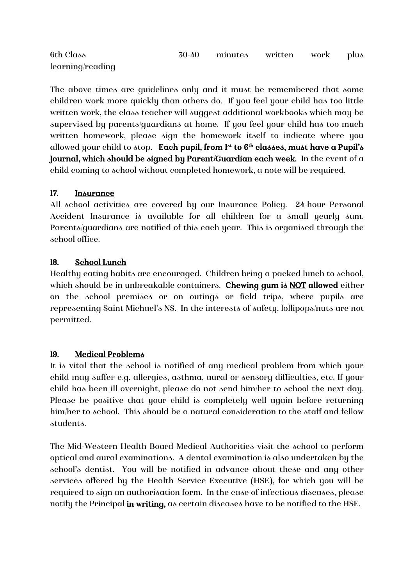| 6th Class        | 30-40 minutes written work plus |  |  |
|------------------|---------------------------------|--|--|
| learning/reading |                                 |  |  |

The above times are guidelines only and it must be remembered that some children work more quickly than others do. If you feel your child has too little written work, the class teacher will suggest additional workbooks which may be supervised by parents/guardians at home. If you feel your child has too much written homework, please sign the homework itself to indicate where you allowed your child to stop. Each pupil, from  $1^{st}$  to  $6^{th}$  classes, must have a Pupil's Journal, which should be signed by Parent/Guardian each week. In the event of a child coming to school without completed homework, a note will be required.

## 17. Insurance

All school activities are covered by our Insurance Policy. 24-hour Personal Accident Insurance is available for all children for a small yearly sum. Parents/guardians are notified of this each year. This is organised through the school office.

#### 18. School Lunch

Healthy eating habits are encouraged. Children bring a packed lunch to school, which should be in unbreakable containers. Chewing gum is NOT allowed either on the school premises or on outings or field trips, where pupils are representing Saint Michael's NS. In the interests of safety, lollipops/nuts are not permitted.

#### 19. Medical Problems

It is vital that the school is notified of any medical problem from which your child may suffer e.g. allergies, asthma, aural or sensory difficulties, etc. If your child has been ill overnight, please do not send him/her to school the next day. Please be positive that your child is completely well again before returning him/her to school. This should be a natural consideration to the staff and fellow students.

The Mid-Western Health Board Medical Authorities visit the school to perform optical and aural examinations. A dental examination is also undertaken by the school's dentist. You will be notified in advance about these and any other services offered by the Health Service Executive (HSE), for which you will be required to sign an authorisation form. In the case of infectious diseases, please notify the Principal in writing, as certain diseases have to be notified to the HSE.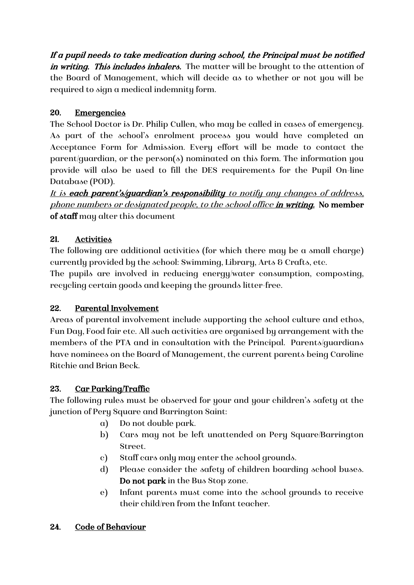If a pupil needs to take medication during school, the Principal must be notified in writing. This includes inhalers. The matter will be brought to the attention of the Board of Management, which will decide as to whether or not you will be required to sign a medical indemnity form.

# 20. Emergencies

The School Doctor is Dr. Philip Cullen, who may be called in cases of emergency. As part of the school's enrolment process you would have completed an Acceptance Form for Admission. Every effort will be made to contact the parent/guardian, or the person(s) nominated on this form. The information you provide will also be used to fill the DES requirements for the Pupil On-line Database (POD).

It is each parent's/guardian's responsibility to notify any changes of address, phone numbers or designated people, to the school office in writing. No member of staff may alter this document

# 21. Activities

The following are additional activities (for which there may be a small charge) currently provided by the school: Swimming, Library, Arts & Crafts, etc.

The pupils are involved in reducing energy/water consumption, composting, recycling certain goods and keeping the grounds litter-free.

# 22. Parental Involvement

Areas of parental involvement include supporting the school culture and ethos, Fun Day, Food fair etc. All such activities are organised by arrangement with the members of the PTA and in consultation with the Principal. Parents/guardians have nominees on the Board of Management, the current parents being Caroline Ritchie and Brian Beck.

# 23. Car Parking/Traffic

The following rules must be observed for your and your children's safety at the junction of Pery Square and Barrington Saint:

- a) Do not double park.
- b) Cars may not be left unattended on Pery Square/Barrington Street.
- c) Staff cars only may enter the school grounds.
- d) Please consider the safety of children boarding school buses. Do not park in the Bus Stop zone.
- e) Infant parents must come into the school grounds to receive their child/ren from the Infant teacher.

# 24. Code of Behaviour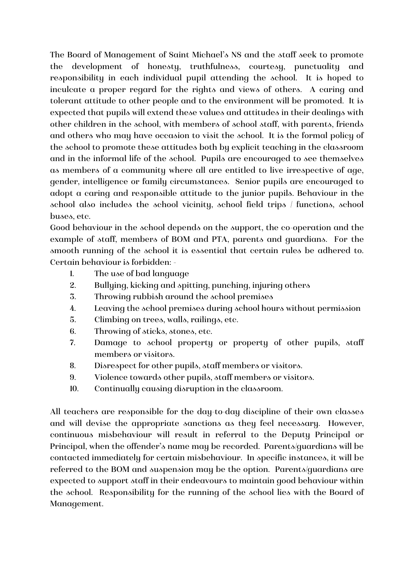The Board of Management of Saint Michael's NS and the staff seek to promote the development of honesty, truthfulness, courtesy, punctuality and responsibility in each individual pupil attending the school. It is hoped to inculcate a proper regard for the rights and views of others. A caring and tolerant attitude to other people and to the environment will be promoted. It is expected that pupils will extend these values and attitudes in their dealings with other children in the school, with members of school staff, with parents, friends and others who may have occasion to visit the school. It is the formal policy of the school to promote these attitudes both by explicit teaching in the classroom and in the informal life of the school. Pupils are encouraged to see themselves as members of a community where all are entitled to live irrespective of age, gender, intelligence or family circumstances. Senior pupils are encouraged to adopt a caring and responsible attitude to the junior pupils. Behaviour in the school also includes the school vicinity, school field trips / functions, school buses, etc.

Good behaviour in the school depends on the support, the co-operation and the example of staff, members of BOM and PTA, parents and guardians. For the smooth running of the school it is essential that certain rules be adhered to. Certain behaviour is forbidden: -

- 1. The use of bad language
- 2. Bullying, kicking and spitting, punching, injuring others
- 3. Throwing rubbish around the school premises
- 4. Leaving the school premises during school hours without permission
- 5. Climbing on trees, walls, railings, etc.
- 6. Throwing of sticks, stones, etc.
- 7. Damage to school property or property of other pupils, staff members or visitors.
- 8. Disrespect for other pupils, staff members or visitors.
- 9. Violence towards other pupils, staff members or visitors.
- 10. Continually causing disruption in the classroom.

All teachers are responsible for the day-to-day discipline of their own classes and will devise the appropriate sanctions as they feel necessary. However, continuous misbehaviour will result in referral to the Deputy Principal or Principal, when the offender's name may be recorded. Parents/guardians will be contacted immediately for certain misbehaviour. In specific instances, it will be referred to the BOM and suspension may be the option. Parents/guardians are expected to support staff in their endeavours to maintain good behaviour within the school. Responsibility for the running of the school lies with the Board of Management.